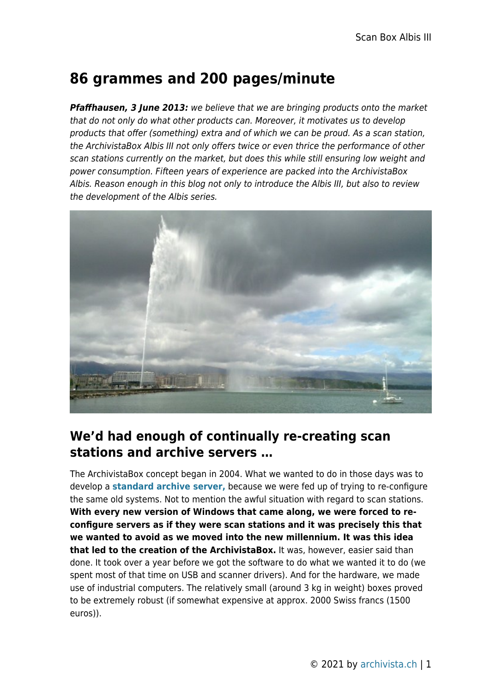## **86 grammes and 200 pages/minute**

*Pfaffhausen, 3 June 2013:* we believe that we are bringing products onto the market that do not only do what other products can. Moreover, it motivates us to develop products that offer (something) extra and of which we can be proud. As a scan station, the ArchivistaBox Albis III not only offers twice or even thrice the performance of other scan stations currently on the market, but does this while still ensuring low weight and power consumption. Fifteen years of experience are packed into the ArchivistaBox Albis. Reason enough in this blog not only to introduce the Albis III, but also to review the development of the Albis series.



## **We'd had enough of continually re-creating scan stations and archive servers …**

The ArchivistaBox concept began in 2004. What we wanted to do in those days was to develop a **[standard archive server,](http://www.archivista.ch/de/media/archivserver.pdf)** because we were fed up of trying to re-configure the same old systems. Not to mention the awful situation with regard to scan stations. **With every new version of Windows that came along, we were forced to reconfigure servers as if they were scan stations and it was precisely this that we wanted to avoid as we moved into the new millennium. It was this idea that led to the creation of the ArchivistaBox.** It was, however, easier said than done. It took over a year before we got the software to do what we wanted it to do (we spent most of that time on USB and scanner drivers). And for the hardware, we made use of industrial computers. The relatively small (around 3 kg in weight) boxes proved to be extremely robust (if somewhat expensive at approx. 2000 Swiss francs (1500 euros)).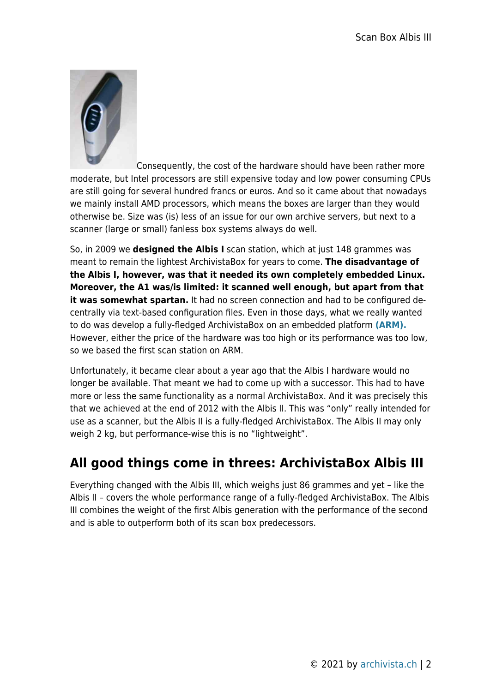

Consequently, the cost of the hardware should have been rather more moderate, but Intel processors are still expensive today and low power consuming CPUs are still going for several hundred francs or euros. And so it came about that nowadays we mainly install AMD processors, which means the boxes are larger than they would otherwise be. Size was (is) less of an issue for our own archive servers, but next to a scanner (large or small) fanless box systems always do well.

So, in 2009 we **designed the Albis I** scan station, which at just 148 grammes was meant to remain the lightest ArchivistaBox for years to come. **The disadvantage of the Albis I, however, was that it needed its own completely embedded Linux. Moreover, the A1 was/is limited: it scanned well enough, but apart from that it was somewhat spartan.** It had no screen connection and had to be configured decentrally via text-based configuration files. Even in those days, what we really wanted to do was develop a fully-fledged ArchivistaBox on an embedded platform **[\(ARM\).](http://de.wikipedia.org/wiki/ARM-Architektur)** However, either the price of the hardware was too high or its performance was too low, so we based the first scan station on ARM.

Unfortunately, it became clear about a year ago that the Albis I hardware would no longer be available. That meant we had to come up with a successor. This had to have more or less the same functionality as a normal ArchivistaBox. And it was precisely this that we achieved at the end of 2012 with the Albis II. This was "only" really intended for use as a scanner, but the Albis II is a fully-fledged ArchivistaBox. The Albis II may only weigh 2 kg, but performance-wise this is no "lightweight".

## **All good things come in threes: ArchivistaBox Albis III**

Everything changed with the Albis III, which weighs just 86 grammes and yet – like the Albis II – covers the whole performance range of a fully-fledged ArchivistaBox. The Albis III combines the weight of the first Albis generation with the performance of the second and is able to outperform both of its scan box predecessors.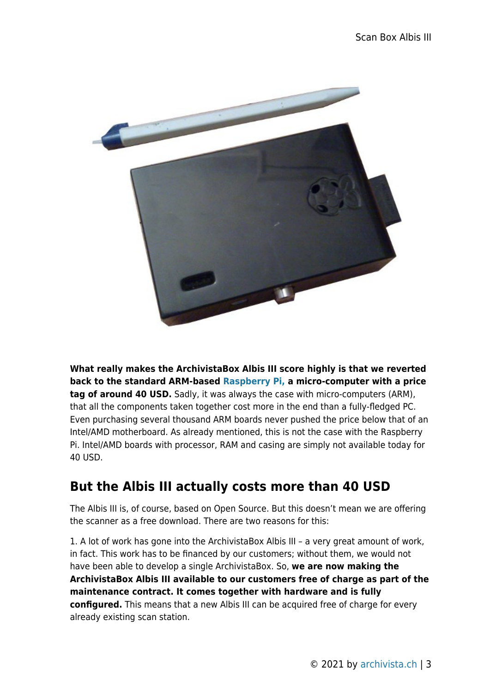

**What really makes the ArchivistaBox Albis III score highly is that we reverted back to the standard ARM-based [Raspberry Pi,](http://www.raspberrypi.org/) a micro-computer with a price tag of around 40 USD.** Sadly, it was always the case with micro-computers (ARM), that all the components taken together cost more in the end than a fully-fledged PC. Even purchasing several thousand ARM boards never pushed the price below that of an Intel/AMD motherboard. As already mentioned, this is not the case with the Raspberry Pi. Intel/AMD boards with processor, RAM and casing are simply not available today for 40 USD.

## **But the Albis III actually costs more than 40 USD**

The Albis III is, of course, based on Open Source. But this doesn't mean we are offering the scanner as a free download. There are two reasons for this:

1. A lot of work has gone into the ArchivistaBox Albis III – a very great amount of work, in fact. This work has to be financed by our customers; without them, we would not have been able to develop a single ArchivistaBox. So, **we are now making the ArchivistaBox Albis III available to our customers free of charge as part of the maintenance contract. It comes together with hardware and is fully configured.** This means that a new Albis III can be acquired free of charge for every already existing scan station.